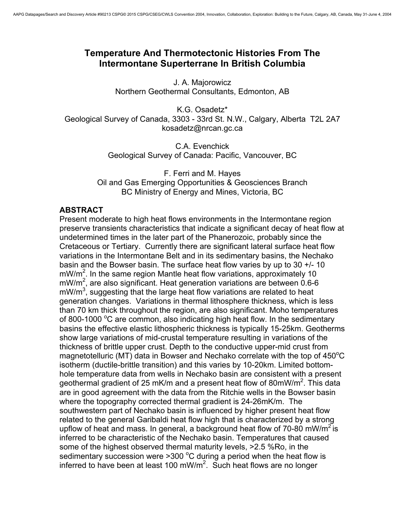## **Temperature And Thermotectonic Histories From The Intermontane Superterrane In British Columbia**

J. A. Majorowicz Northern Geothermal Consultants, Edmonton, AB

K.G. Osadetz\* Geological Survey of Canada, 3303 - 33rd St. N.W., Calgary, Alberta T2L 2A7 kosadetz@nrcan.gc.ca

> C.A. Evenchick Geological Survey of Canada: Pacific, Vancouver, BC

F. Ferri and M. Hayes Oil and Gas Emerging Opportunities & Geosciences Branch BC Ministry of Energy and Mines, Victoria, BC

## **ABSTRACT**

Present moderate to high heat flows environments in the Intermontane region preserve transients characteristics that indicate a significant decay of heat flow at undetermined times in the later part of the Phanerozoic, probably since the Cretaceous or Tertiary. Currently there are significant lateral surface heat flow variations in the Intermontane Belt and in its sedimentary basins, the Nechako basin and the Bowser basin. The surface heat flow varies by up to 30 +/- 10 mW/m<sup>2</sup>. In the same region Mantle heat flow variations, approximately 10  $mW/m^2$ , are also significant. Heat generation variations are between 0.6-6  $mW/m<sup>3</sup>$ , suggesting that the large heat flow variations are related to heat generation changes. Variations in thermal lithosphere thickness, which is less than 70 km thick throughout the region, are also significant. Moho temperatures of 800-1000  $\degree$ C are common, also indicating high heat flow. In the sedimentary basins the effective elastic lithospheric thickness is typically 15-25km. Geotherms show large variations of mid-crustal temperature resulting in variations of the thickness of brittle upper crust. Depth to the conductive upper-mid crust from magnetotelluric (MT) data in Bowser and Nechako correlate with the top of 450 $^{\circ}$ C isotherm (ductile-brittle transition) and this varies by 10-20km. Limited bottomhole temperature data from wells in Nechako basin are consistent with a present geothermal gradient of 25 mK/m and a present heat flow of 80mW/m<sup>2</sup>. This data are in good agreement with the data from the Ritchie wells in the Bowser basin where the topography corrected thermal gradient is 24-26mK/m. The southwestern part of Nechako basin is influenced by higher present heat flow related to the general Garibaldi heat flow high that is characterized by a strong upflow of heat and mass. In general, a background heat flow of 70-80 mW/m<sup>2</sup> is inferred to be characteristic of the Nechako basin. Temperatures that caused some of the highest observed thermal maturity levels, >2.5 %Ro, in the sedimentary succession were  $>300$  °C during a period when the heat flow is inferred to have been at least 100 mW/m<sup>2</sup>. Such heat flows are no longer